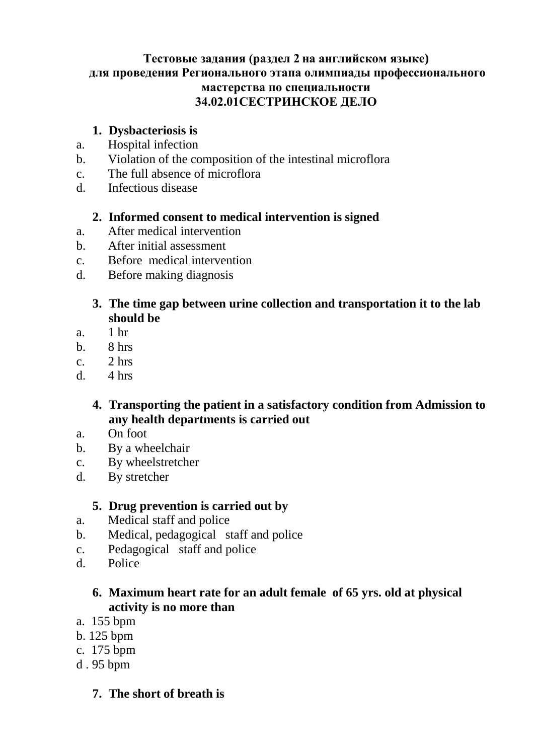#### **Тестовые задания (раздел 2 на английском языке) для проведения Регионального этапа олимпиады профессионального мастерства по специальности 34.02.01СЕСТРИНСКОЕ ДЕЛО**

## **1. Dysbacteriosis is**

- a. Hospital infection
- b. Violation of the composition of the intestinal microflora
- c. The full absence of microflora
- d. Infectious disease

#### **2. Informed consent to medical intervention is signed**

- a. After medical intervention
- b. After initial assessment
- c. Before medical intervention
- d. Before making diagnosis

#### **3. The time gap between urine collection and transportation it to the lab should be**

- a. 1 hr
- b. 8 hrs
- c.  $2 \text{ hrs}$
- d.  $4 \text{ hrs}$

## **4. Transporting the patient in a satisfactory condition from Admission to any health departments is carried out**

- a. On foot
- b. By a wheelchair
- c. By wheelstretcher
- d. By stretcher

### **5. Drug prevention is carried out by**

- a. Medical staff and police
- b. Medical, pedagogical staff and police
- c. Pedagogical staff and police
- d. Police

### **6. Maximum heart rate for an adult female of 65 yrs. old at physical activity is no more than**

- a. 155 bpm
- b. 125 bpm
- c. 175 bpm
- d . 95 bpm

### **7. The short of breath is**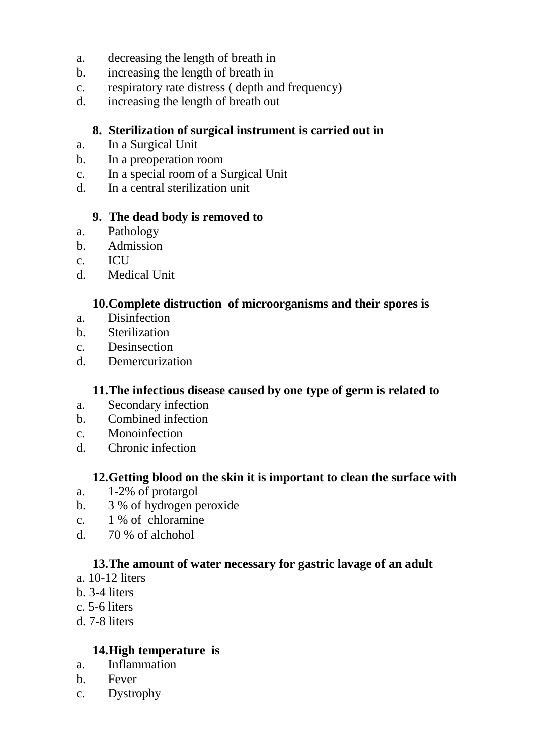- a. decreasing the length of breath in
- b. increasing the length of breath in
- c. respiratory rate distress ( depth and frequency)
- d. increasing the length of breath out

### **8. Sterilization of surgical instrument is carried out in**

- a. In a Surgical Unit
- b. In a preoperation room
- c. In a special room of a Surgical Unit
- d. In a central sterilization unit

#### **9. The dead body is removed to**

- a. Pathology
- b. Admission
- c. ICU
- d. Medical Unit

#### **10.Complete distruction of microorganisms and their spores is**

- a. Disinfection
- b. Sterilization
- c. Desinsection
- d. Demercurization

### **11.The infectious disease caused by one type of germ is related to**

- a. Secondary infection
- b. Combined infection
- c. Monoinfection
- d. Chronic infection

### **12.Getting blood on the skin it is important to clean the surface with**

- a. 1-2% of protargol
- b. 3 % of hydrogen peroxide
- c. 1 % of chloramine
- d. 70 % of alchohol

## **13.The amount of water necessary for gastric lavage of an adult**

- a. 10-12 liters
- b. 3-4 liters
- c. 5-6 liters
- d. 7-8 liters

### **14.High temperature is**

- a. Inflammation
- b. Fever
- c. Dystrophy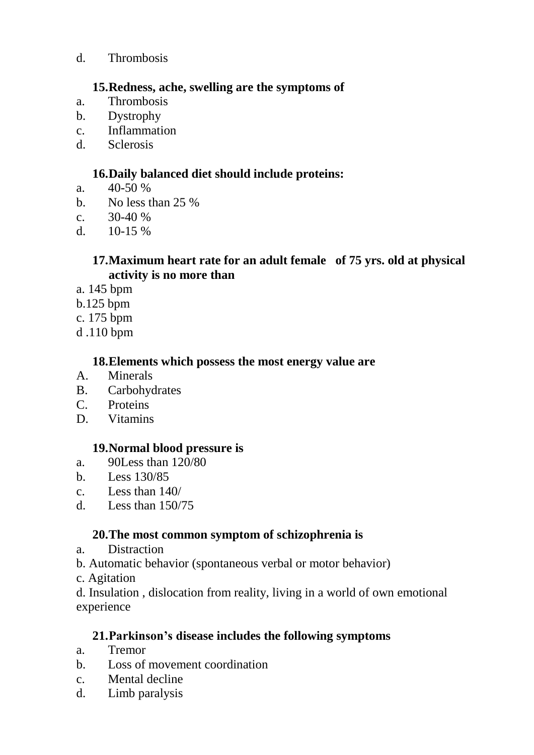d. Thrombosis

#### **15.Redness, ache, swelling are the symptoms of**

- a. Thrombosis
- b. Dystrophy
- c. Inflammation
- d. Sclerosis

## **16.Daily balanced diet should include proteins:**

- a.  $40-50\%$
- b. No less than 25 %
- c.  $30-40\%$
- d.  $10-15\%$

#### **17.Maximum heart rate for an adult female of 75 yrs. old at physical activity is no more than**

- a. 145 bpm
- b.125 bpm
- c. 175 bpm
- d .110 bpm

#### **18.Elements which possess the most energy value are**

- A. Minerals
- B. Carbohydrates
- C. Proteins
- D. Vitamins

### **19.Normal blood pressure is**

- a. 90Less than 120/80
- b. Less 130/85
- c. Less than 140/
- d. Less than 150/75

## **20.The most common symptom of schizophrenia is**

- a. Distraction
- b. Automatic behavior (spontaneous verbal or motor behavior)
- c. Agitation

d. Insulation , dislocation from reality, living in a world of own emotional experience

### **21.Parkinson's disease includes the following symptoms**

- a. Tremor
- b. Loss of movement coordination
- c. Mental decline
- d. Limb paralysis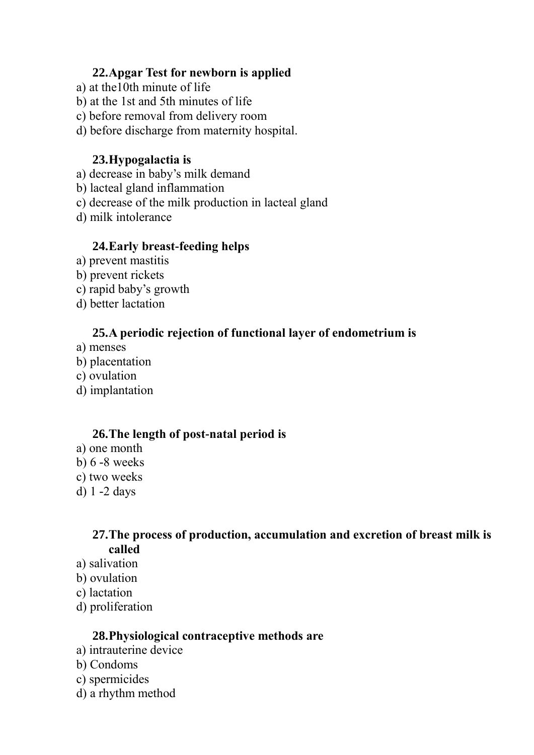#### **22.Apgar Test for newborn is applied**

- a) at the10th minute of life
- b) at the 1st and 5th minutes of life
- c) before removal from delivery room
- d) before discharge from maternity hospital.

### **23.Hypogalactia is**

- a) decrease in baby's milk demand
- b) lacteal gland inflammation
- c) decrease of the milk production in lacteal gland
- d) milk intolerance

#### **24.Early breast-feeding helps**

- a) prevent mastitis
- b) prevent rickets
- c) rapid baby's growth
- d) better lactation

### **25.A periodic rejection of functional layer of endometrium is**

- a) menses
- b) placentation
- c) ovulation
- d) implantation

#### **26.The length of post-natal period is**

- a) one month
- b) 6 -8 weeks
- c) two weeks
- d) 1 -2 days

### **27.The process of production, accumulation and excretion of breast milk is called**

- a) salivation
- b) ovulation
- c) lactation
- d) proliferation

#### **28.Physiological contraceptive methods are**

- a) intrauterine device
- b) Condoms
- c) spermicides
- d) a rhythm method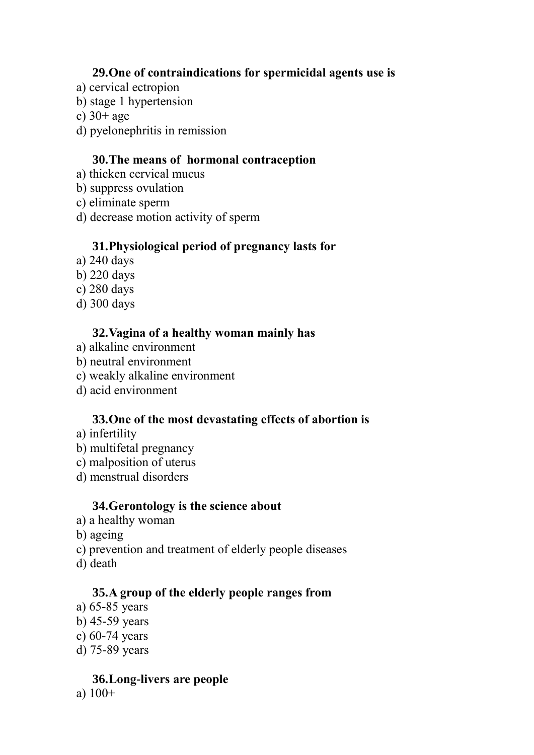#### **29.One of contraindications for spermicidal agents use is**

- a) cervical ectropion
- b) stage 1 hypertension
- c)  $30+$  age
- d) pyelonephritis in remission

#### **30.The means of hormonal contraception**

- a) thicken cervical mucus
- b) suppress ovulation
- c) eliminate sperm
- d) decrease motion activity of sperm

## **31.Physiological period of pregnancy lasts for**

- a) 240 days
- b) 220 days
- c) 280 days
- d) 300 days

### **32.Vagina of a healthy woman mainly has**

- a) alkaline environment
- b) neutral environment
- c) weakly alkaline environment
- d) acid environment

### **33.One of the most devastating effects of abortion is**

- a) infertility
- b) multifetal pregnancy
- c) malposition of uterus
- d) menstrual disorders

### **34.Gerontology is the science about**

- a) a healthy woman
- b) ageing
- c) prevention and treatment of elderly people diseases
- d) death

### **35.A group of the elderly people ranges from**

- a) 65-85 years
- b) 45-59 years
- c) 60-74 years
- d) 75-89 years

### **36.Long-livers are people**

a)  $100+$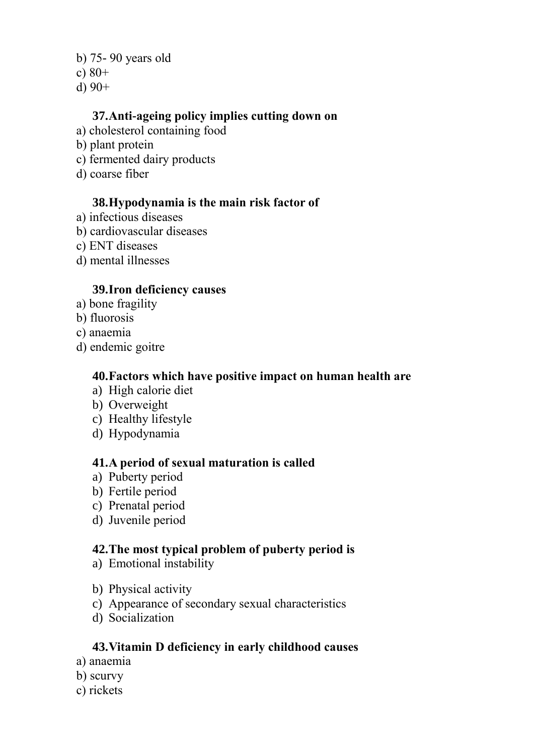b) 75- 90 years old

- c)  $80+$
- d) 90+

### **37.Anti-ageing policy implies cutting down on**

- a) cholesterol containing food
- b) plant protein
- c) fermented dairy products
- d) coarse fiber

#### **38.Hypodynamia is the main risk factor of**

- a) infectious diseases
- b) cardiovascular diseases
- c) ENT diseases
- d) mental illnesses

#### **39.Iron deficiency causes**

- a) bone fragility
- b) fluorosis
- c) anaemia
- d) endemic goitre

#### **40.Factors which have positive impact on human health are**

- a) High calorie diet
- b) Overweight
- c) Healthy lifestyle
- d) Hypodynamia

### **41.A period of sexual maturation is called**

- a) Puberty period
- b) Fertile period
- c) Prenatal period
- d) Juvenile period

### **42.The most typical problem of puberty period is**

- a) Emotional instability
- b) Physical activity
- c) Appearance of secondary sexual characteristics
- d) Socialization

### **43.Vitamin D deficiency in early childhood causes**

- a) anaemia
- b) scurvy
- c) rickets